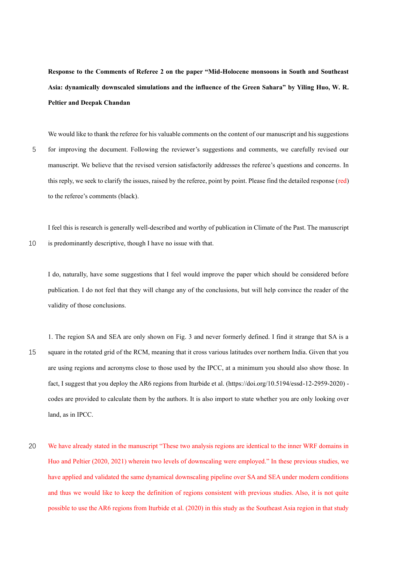**Response to the Comments of Referee 2 on the paper "Mid-Holocene monsoons in South and Southeast Asia: dynamically downscaled simulations and the influence of the Green Sahara" by Yiling Huo, W. R. Peltier and Deepak Chandan**

We would like to thank the referee for his valuable comments on the content of our manuscript and his suggestions 5 for improving the document. Following the reviewer's suggestions and comments, we carefully revised our manuscript. We believe that the revised version satisfactorily addresses the referee's questions and concerns. In this reply, we seek to clarify the issues, raised by the referee, point by point. Please find the detailed response (red) to the referee's comments (black).

I feel this is research is generally well-described and worthy of publication in Climate of the Past. The manuscript 10 is predominantly descriptive, though I have no issue with that.

I do, naturally, have some suggestions that I feel would improve the paper which should be considered before publication. I do not feel that they will change any of the conclusions, but will help convince the reader of the validity of those conclusions.

1. The region SA and SEA are only shown on Fig. 3 and never formerly defined. I find it strange that SA is a 15 square in the rotated grid of the RCM, meaning that it cross various latitudes over northern India. Given that you are using regions and acronyms close to those used by the IPCC, at a minimum you should also show those. In fact, I suggest that you deploy the AR6 regions from Iturbide et al. (https://doi.org/10.5194/essd-12-2959-2020) codes are provided to calculate them by the authors. It is also import to state whether you are only looking over land, as in IPCC.

20 We have already stated in the manuscript "These two analysis regions are identical to the inner WRF domains in Huo and Peltier (2020, 2021) wherein two levels of downscaling were employed." In these previous studies, we have applied and validated the same dynamical downscaling pipeline over SA and SEA under modern conditions and thus we would like to keep the definition of regions consistent with previous studies. Also, it is not quite possible to use the AR6 regions from Iturbide et al. (2020) in this study as the Southeast Asia region in that study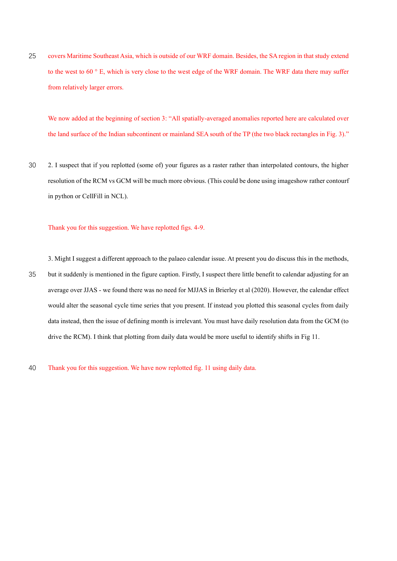25 covers Maritime Southeast Asia, which is outside of our WRF domain. Besides, the SA region in that study extend to the west to 60 ° E, which is very close to the west edge of the WRF domain. The WRF data there may suffer from relatively larger errors.

We now added at the beginning of section 3: "All spatially-averaged anomalies reported here are calculated over the land surface of the Indian subcontinent or mainland SEA south of the TP (the two black rectangles in Fig. 3)."

30 2. I suspect that if you replotted (some of) your figures as a raster rather than interpolated contours, the higher resolution of the RCM vs GCM will be much more obvious. (This could be done using imageshow rather contourf in python or CellFill in NCL).

## Thank you for this suggestion. We have replotted figs. 4-9.

3. Might I suggest a different approach to the palaeo calendar issue. At present you do discuss this in the methods, 35 but it suddenly is mentioned in the figure caption. Firstly, I suspect there little benefit to calendar adjusting for an average over JJAS - we found there was no need for MJJAS in Brierley et al (2020). However, the calendar effect would alter the seasonal cycle time series that you present. If instead you plotted this seasonal cycles from daily data instead, then the issue of defining month is irrelevant. You must have daily resolution data from the GCM (to drive the RCM). I think that plotting from daily data would be more useful to identify shifts in Fig 11.

40 Thank you for this suggestion. We have now replotted fig. 11 using daily data.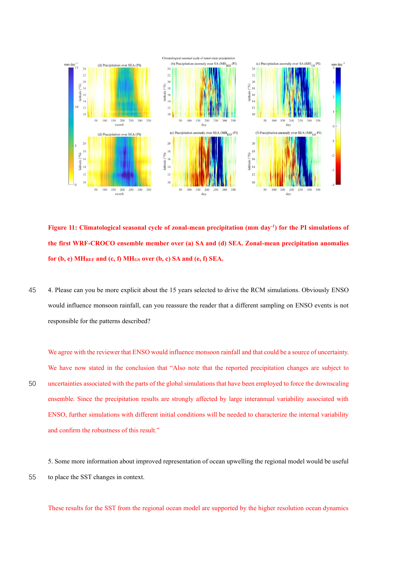

**Figure 11: Climatological seasonal cycle of zonal-mean precipitation (mm day-1 ) for the PI simulations of the first WRF-CROCO ensemble member over (a) SA and (d) SEA. Zonal-mean precipitation anomalies for (b, e) MHREF and (c, f) MHGS over (b, c) SA and (e, f) SEA.**

45 4. Please can you be more explicit about the 15 years selected to drive the RCM simulations. Obviously ENSO would influence monsoon rainfall, can you reassure the reader that a different sampling on ENSO events is not responsible for the patterns described?

We agree with the reviewer that ENSO would influence monsoon rainfall and that could be a source of uncertainty. We have now stated in the conclusion that "Also note that the reported precipitation changes are subject to 50 uncertainties associated with the parts of the global simulations that have been employed to force the downscaling ensemble. Since the precipitation results are strongly affected by large interannual variability associated with ENSO, further simulations with different initial conditions will be needed to characterize the internal variability and confirm the robustness of this result."

5. Some more information about improved representation of ocean upwelling the regional model would be useful 55 to place the SST changes in context.

These results for the SST from the regional ocean model are supported by the higher resolution ocean dynamics